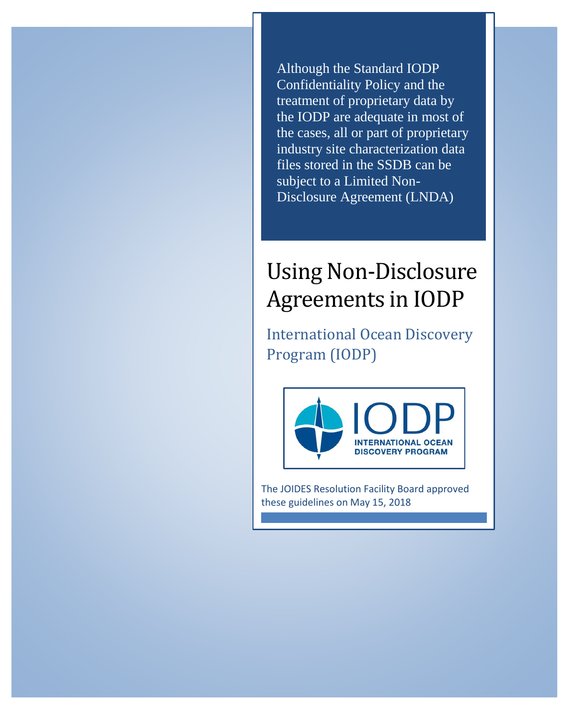Although the Standard IODP Confidentiality Policy and the treatment of proprietary data by the IODP are adequate in most of the cases, all or part of proprietary industry site characterization data files stored in the SSDB can be subject to a Limited Non-Disclosure Agreement (LNDA)

## Using Non-Disclosure Agreements in IODP

International Ocean Discovery Program (IODP)



The JOIDES Resolution Facility Board approved these guidelines on May 15, 2018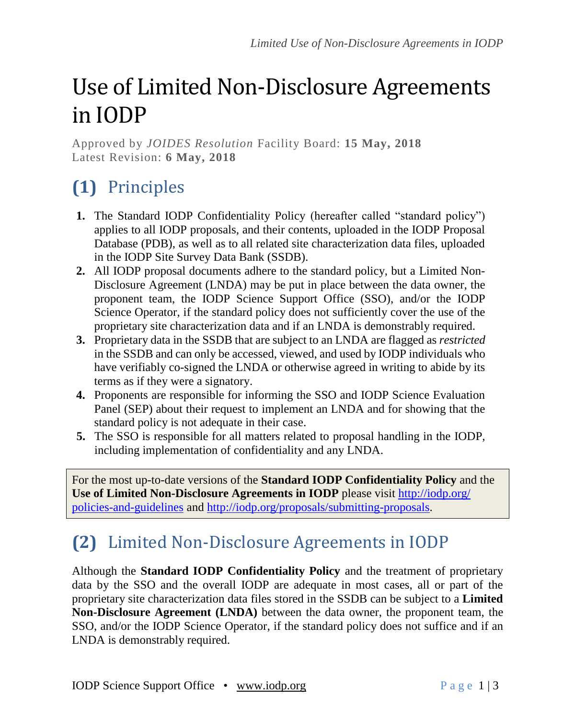# Use of Limited Non-Disclosure Agreements in IODP

Approved by *JOIDES Resolution* Facility Board: **15 May, 2018** Latest Revision: **6 May, 2018**

### **(1)** Principles

- **1.** The Standard IODP Confidentiality Policy (hereafter called "standard policy") applies to all IODP proposals, and their contents, uploaded in the IODP Proposal Database (PDB), as well as to all related site characterization data files, uploaded in the IODP Site Survey Data Bank (SSDB).
- **2.** All IODP proposal documents adhere to the standard policy, but a Limited Non-Disclosure Agreement (LNDA) may be put in place between the data owner, the proponent team, the IODP Science Support Office (SSO), and/or the IODP Science Operator, if the standard policy does not sufficiently cover the use of the proprietary site characterization data and if an LNDA is demonstrably required.
- **3.** Proprietary data in the SSDB that are subject to an LNDA are flagged as *restricted* in the SSDB and can only be accessed, viewed, and used by IODP individuals who have verifiably co-signed the LNDA or otherwise agreed in writing to abide by its terms as if they were a signatory.
- **4.** Proponents are responsible for informing the SSO and IODP Science Evaluation Panel (SEP) about their request to implement an LNDA and for showing that the standard policy is not adequate in their case.
- **5.** The SSO is responsible for all matters related to proposal handling in the IODP, including implementation of confidentiality and any LNDA.

For the most up-to-date versions of the **Standard IODP Confidentiality Policy** and the **Use of Limited Non-Disclosure Agreements in IODP** please visit [http://iodp.org/](http://iodp.org/policies-and-guidelines) [policies-and-guidelines](http://iodp.org/policies-and-guidelines) and [http://iodp.org/proposals/submitting-proposals.](http://iodp.org/proposals/submitting-proposals)

#### **(2)** Limited Non-Disclosure Agreements in IODP

Although the **Standard IODP Confidentiality Policy** and the treatment of proprietary data by the SSO and the overall IODP are adequate in most cases, all or part of the proprietary site characterization data files stored in the SSDB can be subject to a **Limited Non-Disclosure Agreement (LNDA)** between the data owner, the proponent team, the SSO, and/or the IODP Science Operator, if the standard policy does not suffice and if an LNDA is demonstrably required.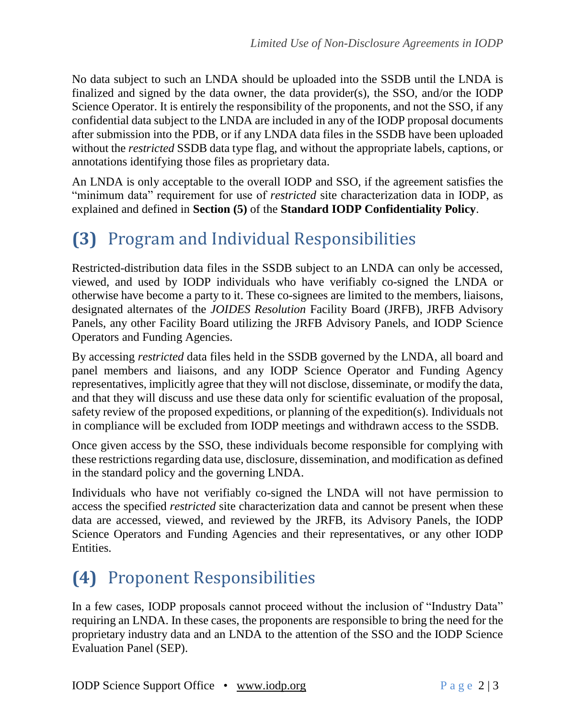No data subject to such an LNDA should be uploaded into the SSDB until the LNDA is finalized and signed by the data owner, the data provider(s), the SSO, and/or the IODP Science Operator. It is entirely the responsibility of the proponents, and not the SSO, if any confidential data subject to the LNDA are included in any of the IODP proposal documents after submission into the PDB, or if any LNDA data files in the SSDB have been uploaded without the *restricted* SSDB data type flag, and without the appropriate labels, captions, or annotations identifying those files as proprietary data.

An LNDA is only acceptable to the overall IODP and SSO, if the agreement satisfies the "minimum data" requirement for use of *restricted* site characterization data in IODP, as explained and defined in **Section (5)** of the **Standard IODP Confidentiality Policy**.

#### **(3)** Program and Individual Responsibilities

Restricted-distribution data files in the SSDB subject to an LNDA can only be accessed, viewed, and used by IODP individuals who have verifiably co-signed the LNDA or otherwise have become a party to it. These co-signees are limited to the members, liaisons, designated alternates of the *JOIDES Resolution* Facility Board (JRFB), JRFB Advisory Panels, any other Facility Board utilizing the JRFB Advisory Panels, and IODP Science Operators and Funding Agencies.

By accessing *restricted* data files held in the SSDB governed by the LNDA, all board and panel members and liaisons, and any IODP Science Operator and Funding Agency representatives, implicitly agree that they will not disclose, disseminate, or modify the data, and that they will discuss and use these data only for scientific evaluation of the proposal, safety review of the proposed expeditions, or planning of the expedition(s). Individuals not in compliance will be excluded from IODP meetings and withdrawn access to the SSDB.

Once given access by the SSO, these individuals become responsible for complying with these restrictions regarding data use, disclosure, dissemination, and modification as defined in the standard policy and the governing LNDA.

Individuals who have not verifiably co-signed the LNDA will not have permission to access the specified *restricted* site characterization data and cannot be present when these data are accessed, viewed, and reviewed by the JRFB, its Advisory Panels, the IODP Science Operators and Funding Agencies and their representatives, or any other IODP Entities.

#### **(4)** Proponent Responsibilities

In a few cases, IODP proposals cannot proceed without the inclusion of "Industry Data" requiring an LNDA. In these cases, the proponents are responsible to bring the need for the proprietary industry data and an LNDA to the attention of the SSO and the IODP Science Evaluation Panel (SEP).